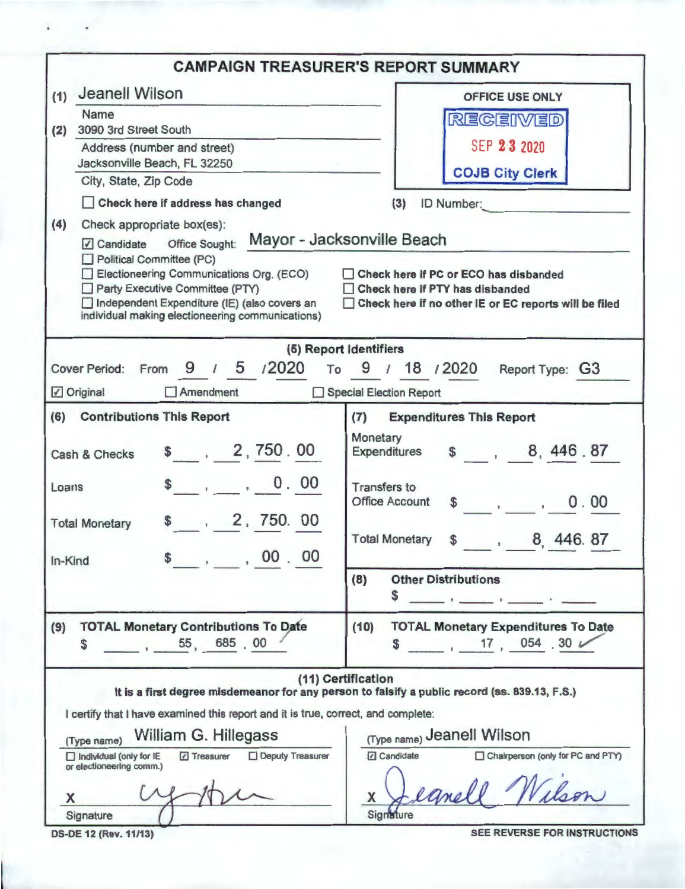|                                                                                                                                                                                                                                                    | <b>CAMPAIGN TREASURER'S REPORT SUMMARY</b>                                                                                              |
|----------------------------------------------------------------------------------------------------------------------------------------------------------------------------------------------------------------------------------------------------|-----------------------------------------------------------------------------------------------------------------------------------------|
| Jeanell Wilson<br>(1)                                                                                                                                                                                                                              | <b>OFFICE USE ONLY</b>                                                                                                                  |
| Name                                                                                                                                                                                                                                               | <b>RECEIVED</b>                                                                                                                         |
| 3090 3rd Street South<br>(2)<br>Address (number and street)                                                                                                                                                                                        | SEP 23 2020                                                                                                                             |
| Jacksonville Beach, FL 32250                                                                                                                                                                                                                       |                                                                                                                                         |
| City, State, Zip Code                                                                                                                                                                                                                              | <b>COJB City Clerk</b>                                                                                                                  |
| Check here if address has changed                                                                                                                                                                                                                  | ID Number:<br>(3)                                                                                                                       |
| (4)<br>Check appropriate box(es):<br>Political Committee (PC)<br>Electioneering Communications Org. (ECO)<br>Party Executive Committee (PTY)<br>□ Independent Expenditure (IE) (also covers an<br>individual making electioneering communications) | □ Check here if PC or ECO has disbanded<br>□ Check here if PTY has disbanded<br>□ Check here if no other IE or EC reports will be filed |
| Cover Period: From 9 / 5 / 2020 To 9 / 18 / 2020<br><b>⊘</b> Original<br>$\Box$ Amendment                                                                                                                                                          | (5) Report Identifiers<br>Report Type: G3<br>Special Election Report                                                                    |
| (6) Contributions This Report                                                                                                                                                                                                                      | (7)<br><b>Expenditures This Report</b>                                                                                                  |
| \$ 2, 750.00<br>Cash & Checks                                                                                                                                                                                                                      | Monetary<br>\$, 8, 446.87<br><b>Expenditures</b>                                                                                        |
| $\frac{1}{2}$ , 0.00<br>Loans                                                                                                                                                                                                                      | <b>Transfers to</b><br><b>Office Account</b><br>0.00                                                                                    |
| \$ 2, 750. 00<br><b>Total Monetary</b><br>, 00.00<br>In-Kind                                                                                                                                                                                       | <b>Total Monetary</b><br>8, 446.87<br>$\sim$                                                                                            |
|                                                                                                                                                                                                                                                    | (8)<br><b>Other Distributions</b><br>\$                                                                                                 |
| <b>TOTAL Monetary Contributions To Date</b><br>(9)<br>55, 685, 00<br>\$                                                                                                                                                                            | <b>TOTAL Monetary Expenditures To Date</b><br>(10)<br>$17, 054.30 \, \nu$<br>\$                                                         |
|                                                                                                                                                                                                                                                    | (11) Certification<br>It is a first degree misdemeanor for any person to falsify a public record (ss. 839.13, F.S.)                     |
| I certify that I have examined this report and it is true, correct, and complete:                                                                                                                                                                  |                                                                                                                                         |
| William G. Hillegass<br>(Type name)                                                                                                                                                                                                                | (Type name) Jeanell Wilson<br><b><i>□</i></b> Candidate<br>Chairperson (only for PC and PTY)                                            |
| Treasurer<br>Deputy Treasurer<br>$\Box$ Individual (only for IE<br>or electioneering comm.)<br>х                                                                                                                                                   |                                                                                                                                         |
| Signature                                                                                                                                                                                                                                          | Signature                                                                                                                               |
| <b>DS-DE 12 (Rev. 11/13)</b>                                                                                                                                                                                                                       | SEE REVERSE FOR INSTRUCTIONS                                                                                                            |

**DS-DE 12 (Rev. 11/13)** 

**SEE REVERSE FOR INSTRUCTIONS**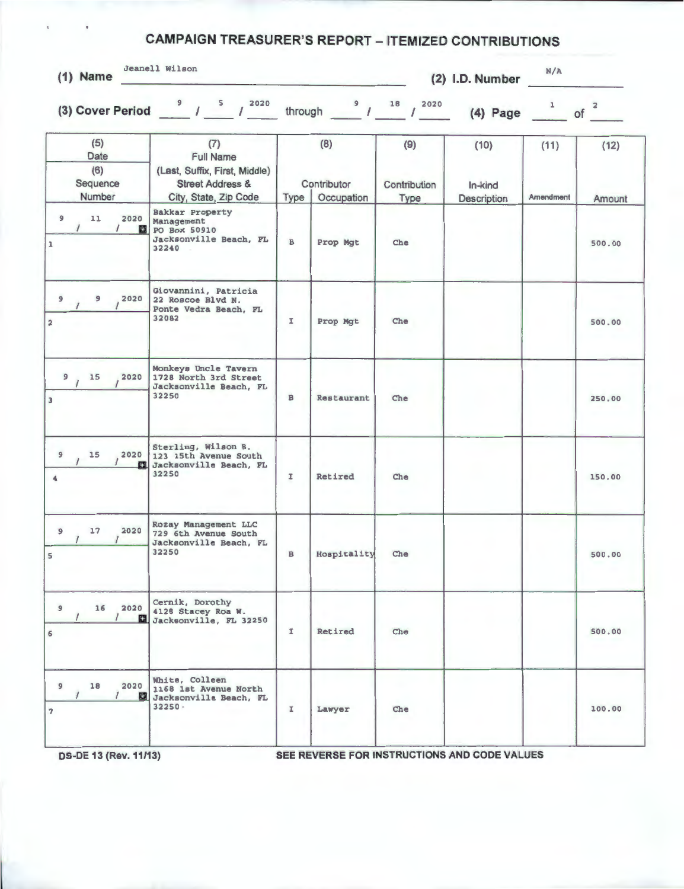## **CAMPAIGN TREASURER'S REPORT - ITEMIZED CONTRIBUTIONS**

|  | $(1)$ Name | Jeanell Wilson |  |
|--|------------|----------------|--|
|--|------------|----------------|--|

**(2) 1.0. Number**  N/ A

| (5)<br>Date<br>(6)                       | (7)<br><b>Full Name</b><br>(Last, Suffix, First, Middle)                                | (8)          |                           | (9)                  | (10)                   | (11)      | (12)   |
|------------------------------------------|-----------------------------------------------------------------------------------------|--------------|---------------------------|----------------------|------------------------|-----------|--------|
| Sequence<br>Number                       | <b>Street Address &amp;</b><br>City, State, Zip Code                                    | Type         | Contributor<br>Occupation | Contribution<br>Type | In-kind<br>Description | Amendment | Amount |
| 11<br>2020<br>9<br>E.                    | <b>Bakkar Property</b><br>Management<br>PO Box 50910<br>Jacksonville Beach, FL<br>32240 | $\mathbf{B}$ | Prop Mgt                  | Che                  |                        |           | 500.00 |
| 9<br>2020<br>$\mathbf{9}$                | Giovannini, Patricia<br>22 Roscoe Blvd N.<br>Ponte Vedra Beach, FL<br>32082             | I            | Prop Mgt                  | Che                  |                        |           | 500.00 |
| 2020<br>9.15                             | Monkeys Uncle Tavern<br>1728 North 3rd Street<br>Jacksonville Beach, FL<br>32250        | в            | Restaurant                | Che                  |                        |           | 250.00 |
| 2020<br>15<br>$\overline{9}$<br>ES.<br>4 | Sterling, Wilson B.<br>123 15th Avenue South<br>Jacksonville Beach, FL<br>32250         | I            | Retired                   | Che                  |                        |           | 150.00 |
| 2020<br>17<br>9                          | Rozay Management LLC<br>729 6th Avenue South<br>Jacksonville Beach, FL<br>32250         | $\, {\bf B}$ | Hospitality               | Che                  |                        |           | 500.00 |
| $\mathbf{9}$<br>16<br>$\prime$           | Cernik, Dorothy<br>2020 4128 Stacey Roa W.<br>Jacksonville, FL 32250                    | I            | Retired                   | Che                  |                        |           | 500.00 |
| 2020<br>18<br>9<br>$\prime$              | White, Colleen<br>1168 1st Avenue North<br>Jacksonville Beach, FL<br>$32250 -$          | I            | Lawyer                    | Che                  |                        |           | 100.00 |

**OS-DE 13 (Rev. 11/13) SEE REVERSE FOR INSTRUCTIONS AND CODE VALUES**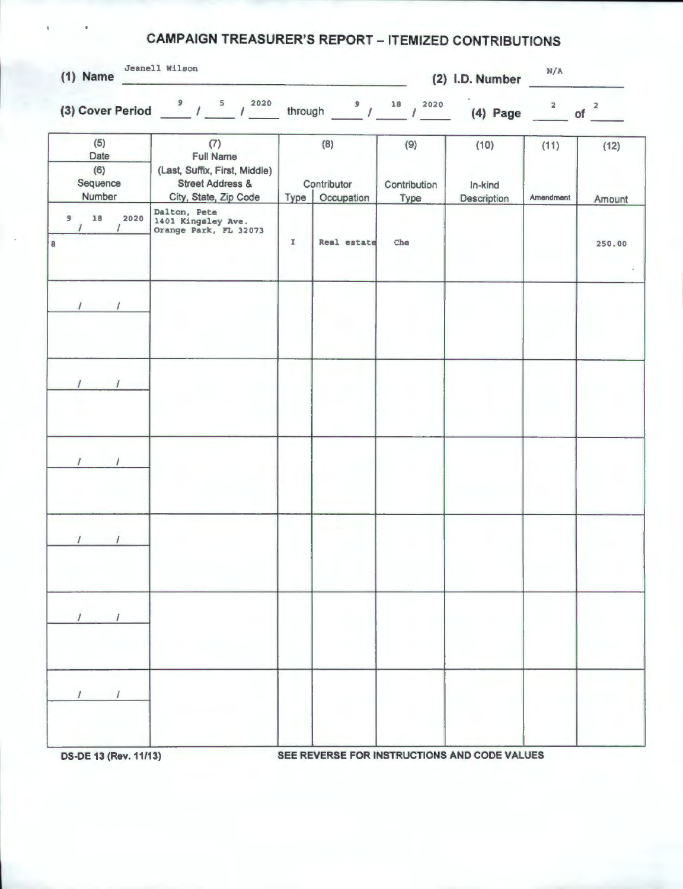## **CAMPAIGN TREASURER'S REPORT - ITEMIZED CONTRIBUTIONS**

|                                                                                                                  |                |                                                                   |                           |                          | N/A                     |                                     |
|------------------------------------------------------------------------------------------------------------------|----------------|-------------------------------------------------------------------|---------------------------|--------------------------|-------------------------|-------------------------------------|
|                                                                                                                  |                |                                                                   |                           |                          | $\overline{\mathbf{2}}$ | $\overline{a}$                      |
| (7)<br><b>Full Name</b><br>(Last, Suffix, First, Middle)<br><b>Street Address &amp;</b><br>City, State, Zip Code | Type           | (8)                                                               | (9)<br>Contribution       | (10)<br>In-kind          | (11)<br>Amendment       | (12)<br>Amount                      |
| Dalton, Pete<br>1401 Kingsley Ave.<br>Orange Park, FL 32073                                                      | $\mathbbm{I}$  | Real estate                                                       | Che                       |                          |                         | 250.00                              |
|                                                                                                                  |                |                                                                   |                           |                          |                         |                                     |
|                                                                                                                  |                |                                                                   |                           |                          |                         |                                     |
|                                                                                                                  |                |                                                                   |                           |                          |                         |                                     |
|                                                                                                                  |                |                                                                   |                           |                          |                         |                                     |
|                                                                                                                  |                |                                                                   |                           |                          |                         |                                     |
|                                                                                                                  |                |                                                                   |                           |                          |                         |                                     |
|                                                                                                                  | Jeanell Wilson | (3) Cover Period $\frac{9}{1}$ / $\frac{5}{1}$ / $\frac{2020}{1}$ | Contributor<br>Occupation | through $9/18/2$<br>Type | 2020<br>Description     | (2) I.D. Number<br>$(4)$ Page<br>of |

**DS-DE 13 (Rev. 11/13)** SEE REVERSE FOR INSTRUCTIONS AND CODE VALUES